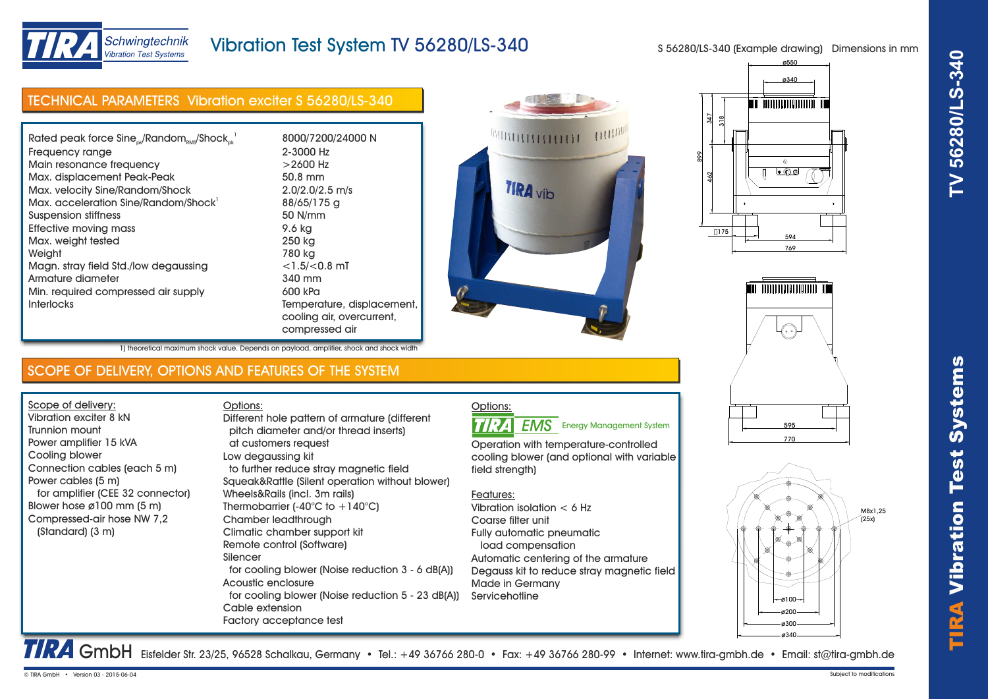



# Schwingtechnik **Vibration Test Systems**

# Vibration Test System TV 56280/LS-340

S 56280/LS-340 (Example drawing) Dimensions in mm

| <b>TECHNICAL PARAMETERS Vibration exciter S 56280/LS-340</b>                                                                                                                                                                                                                                                                                                                                                                                |                                                                                                                                                                                                                                                                                                                                                                                                                                                                                                                                                                                                                    |                                                                                                                                                                                                                                                                                                                                                                                                                                | <u> IIIII TATATOOTOOTOOTOOTATTI TIII</u>                                                                                                                            |
|---------------------------------------------------------------------------------------------------------------------------------------------------------------------------------------------------------------------------------------------------------------------------------------------------------------------------------------------------------------------------------------------------------------------------------------------|--------------------------------------------------------------------------------------------------------------------------------------------------------------------------------------------------------------------------------------------------------------------------------------------------------------------------------------------------------------------------------------------------------------------------------------------------------------------------------------------------------------------------------------------------------------------------------------------------------------------|--------------------------------------------------------------------------------------------------------------------------------------------------------------------------------------------------------------------------------------------------------------------------------------------------------------------------------------------------------------------------------------------------------------------------------|---------------------------------------------------------------------------------------------------------------------------------------------------------------------|
| Rated peak force $Sine_{ok}/Random_{RMS}/Shock_{ok}^{-1}$<br>Frequency range<br>Main resonance frequency<br>Max. displacement Peak-Peak<br>Max. velocity Sine/Random/Shock<br>Max. acceleration Sine/Random/Shock'<br><b>Suspension stiffness</b><br><b>Effective moving mass</b><br>Max. weight tested<br>Weight<br>Magn. stray field Std./low degaussing<br>Armature diameter<br>Min. required compressed air supply<br><b>Interlocks</b> | 8000/7200/24000 N<br>2-3000 Hz<br>$>2600$ Hz<br>50.8 mm<br>$2.0/2.0/2.5$ m/s<br>88/65/175 g<br>50 N/mm<br>9.6 kg<br>250 kg<br>780 kg<br>$<$ 1.5/ $<$ 0.8 mT<br>340 mm<br>600 kPa<br>Temperature, displacement,<br>cooling air, overcurrent,<br>compressed air                                                                                                                                                                                                                                                                                                                                                      | 11111111<br><b>TIRA</b> vib                                                                                                                                                                                                                                                                                                                                                                                                    | 347<br>$\frac{8}{2}$<br>$\circledcirc$<br>$\bullet$ 0 0<br>$\frac{2}{3}$<br>[]175<br>594<br>769<br><b>Milli Telecologia dell'alterito ilitti</b><br>$\cdot$ $\cdot$ |
| 1) theoretical maximum shock value. Depends on payload, amplifier, shock and shock width                                                                                                                                                                                                                                                                                                                                                    |                                                                                                                                                                                                                                                                                                                                                                                                                                                                                                                                                                                                                    |                                                                                                                                                                                                                                                                                                                                                                                                                                |                                                                                                                                                                     |
| SCOPE OF DELIVERY, OPTIONS AND FEATURES OF THE SYSTEM                                                                                                                                                                                                                                                                                                                                                                                       |                                                                                                                                                                                                                                                                                                                                                                                                                                                                                                                                                                                                                    |                                                                                                                                                                                                                                                                                                                                                                                                                                |                                                                                                                                                                     |
| Scope of delivery:<br>Vibration exciter 8 kN<br><b>Trunnion mount</b><br>Power amplifier 15 kVA<br>Cooling blower<br>Connection cables (each 5 m)<br>Power cables (5 m)<br>for amplifier (CEE 32 connector)<br>Blower hose $\emptyset$ 100 mm (5 m)<br>Compressed-air hose NW 7,2<br>(Standard) (3 m)                                                                                                                                       | Options:<br>Different hole pattern of armature (different<br>pitch diameter and/or thread inserts)<br>at customers request<br>Low degaussing kit<br>to further reduce stray magnetic field<br>Squeak&Rattle (Silent operation without blower)<br>Wheels&Rails (incl. 3m rails)<br>Thermobarrier $(-40^{\circ}C)$ to $+140^{\circ}C$ )<br>Chamber leadthrough<br>Climatic chamber support kit<br>Remote control (Software)<br>Silencer<br>for cooling blower (Noise reduction 3 - 6 dB(A))<br>Acoustic enclosure<br>for cooling blower (Noise reduction 5 - 23 dB(A))<br>Cable extension<br>Factory acceptance test | Options:<br><b>EMS</b> Energy Management System<br><b>TIRA</b><br>Operation with temperature-controlled<br>cooling blower (and optional with variable<br>field strength)<br>Features:<br>Vibration isolation $< 6$ Hz<br>Coarse filter unit<br>Fully automatic pneumatic<br>load compensation<br>Automatic centering of the armature<br>Degauss kit to reduce stray magnetic field<br><b>Made in Germany</b><br>Servicehotline | 595<br>770<br>M8x1,25<br>(25x)<br>$-$ ø100-<br>Ø200-<br>ø300<br>ø340-                                                                                               |
| © TIRA GmbH • Version 03 - 2015-06-04                                                                                                                                                                                                                                                                                                                                                                                                       | TRA GmbH Eisfelder Str. 23/25, 96528 Schalkau, Germany • Tel.: +49 36766 280-0 • Fax: +49 36766 280-99 • Internet: www.tira-gmbh.de • Email: st@tira-gmbh.de                                                                                                                                                                                                                                                                                                                                                                                                                                                       |                                                                                                                                                                                                                                                                                                                                                                                                                                | Subject to modifications                                                                                                                                            |









| iin resonance nequency               | 22000 HZ                |
|--------------------------------------|-------------------------|
| ix. displacement Peak-Peak           | 50.8 mm                 |
| ix. velocity Sine/Random/Shock       | $2.0/2.0/2.5$ m/s       |
| ix. acceleration Sine/Random/Shock'  | 88/65/175 g             |
| pension stiffness                    | 50 N/mm                 |
| ective moving mass                   | 9.6 ka                  |
| Ix. weight tested                    | 250 kg                  |
| ight                                 | 780 kg                  |
| ign. stray field Std./Iow degaussing | $<$ 1.5/ $<$ 0.8 mT     |
| nature diameter                      | 340 mm                  |
| n. required compressed air supply    | 600 kPa                 |
| erlocks                              | Temperature, displace   |
|                                      | cooling air, overcurren |
|                                      | compressed air          |
|                                      |                         |

## SCOPE OF DELIVERY, OPTIONS AND FEATURES OF THE SYSTEM

### Options: **EMS** Energy Management System

### Features: